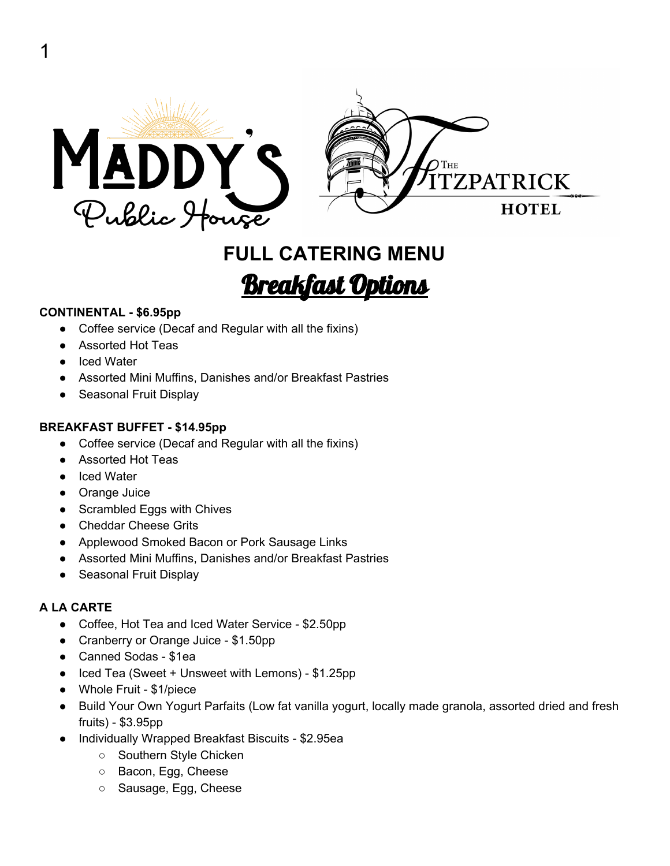

## **FULL CATERING MENU** Breakfast Options

#### **CONTINENTAL - \$6.95pp**

- Coffee service (Decaf and Regular with all the fixins)
- Assorted Hot Teas
- Iced Water
- Assorted Mini Muffins, Danishes and/or Breakfast Pastries
- Seasonal Fruit Display

#### **BREAKFAST BUFFET - \$14.95pp**

- Coffee service (Decaf and Regular with all the fixins)
- Assorted Hot Teas
- Iced Water
- Orange Juice
- Scrambled Eggs with Chives
- Cheddar Cheese Grits
- Applewood Smoked Bacon or Pork Sausage Links
- Assorted Mini Muffins, Danishes and/or Breakfast Pastries
- Seasonal Fruit Display

#### **A LA CARTE**

- Coffee, Hot Tea and Iced Water Service \$2.50pp
- Cranberry or Orange Juice \$1.50pp
- Canned Sodas \$1ea
- Iced Tea (Sweet + Unsweet with Lemons) \$1.25pp
- Whole Fruit \$1/piece
- Build Your Own Yogurt Parfaits (Low fat vanilla yogurt, locally made granola, assorted dried and fresh fruits) - \$3.95pp
- Individually Wrapped Breakfast Biscuits \$2.95ea
	- Southern Style Chicken
	- Bacon, Egg, Cheese
	- Sausage, Egg, Cheese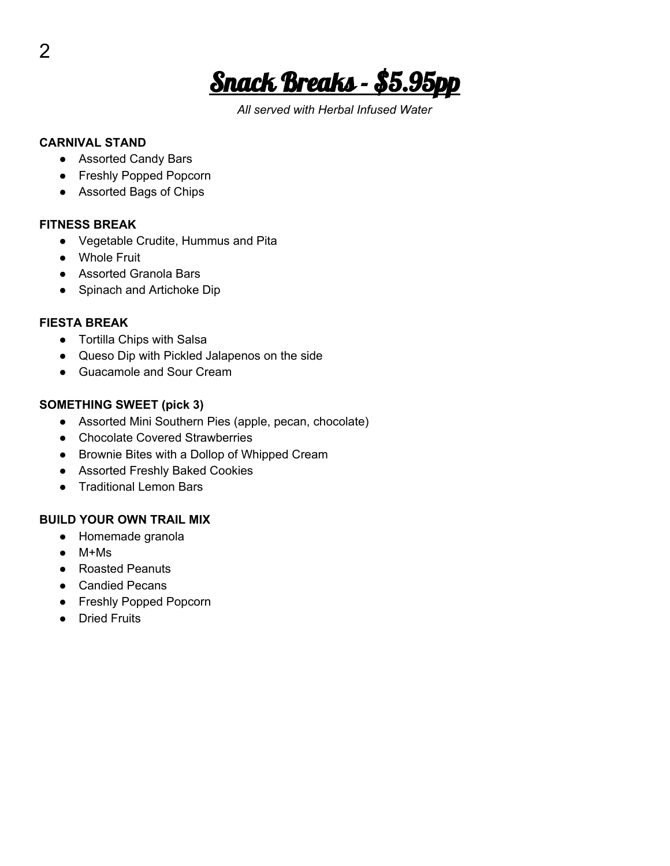Snack Breaks - \$5.95pp

*All served with Herbal Infused Water*

#### **CARNIVAL STAND**

- Assorted Candy Bars
- Freshly Popped Popcorn
- Assorted Bags of Chips

#### **FITNESS BREAK**

- Vegetable Crudite, Hummus and Pita
- Whole Fruit
- Assorted Granola Bars
- Spinach and Artichoke Dip

#### **FIESTA BREAK**

- Tortilla Chips with Salsa
- Queso Dip with Pickled Jalapenos on the side
- Guacamole and Sour Cream

#### **SOMETHING SWEET (pick 3)**

- Assorted Mini Southern Pies (apple, pecan, chocolate)
- Chocolate Covered Strawberries
- Brownie Bites with a Dollop of Whipped Cream
- Assorted Freshly Baked Cookies
- Traditional Lemon Bars

#### **BUILD YOUR OWN TRAIL MIX**

- Homemade granola
- $\bullet$  M+Ms
- Roasted Peanuts
- Candied Pecans
- Freshly Popped Popcorn
- Dried Fruits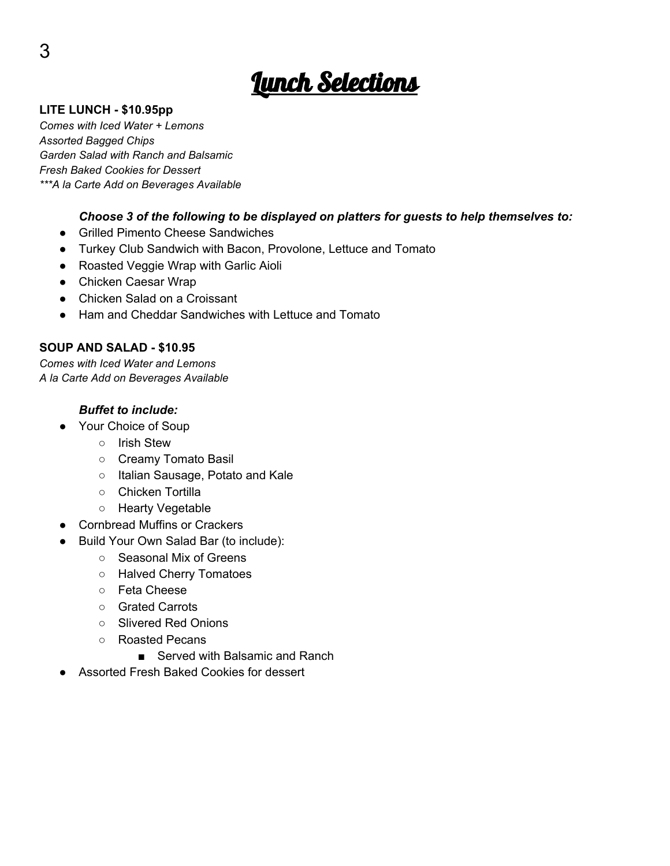# <u> Junch Selections</u>

#### **LITE LUNCH - \$10.95pp**

*Comes with Iced Water + Lemons Assorted Bagged Chips Garden Salad with Ranch and Balsamic Fresh Baked Cookies for Dessert \*\*\*A la Carte Add on Beverages Available*

#### *Choose 3 of the following to be displayed on platters for guests to help themselves to:*

- Grilled Pimento Cheese Sandwiches
- Turkey Club Sandwich with Bacon, Provolone, Lettuce and Tomato
- Roasted Veggie Wrap with Garlic Aioli
- Chicken Caesar Wrap
- Chicken Salad on a Croissant
- Ham and Cheddar Sandwiches with Lettuce and Tomato

#### **SOUP AND SALAD - \$10.95**

*Comes with Iced Water and Lemons A la Carte Add on Beverages Available*

#### *Buffet to include:*

- Your Choice of Soup
	- Irish Stew
	- Creamy Tomato Basil
	- Italian Sausage, Potato and Kale
	- Chicken Tortilla
	- Hearty Vegetable
- Cornbread Muffins or Crackers
- Build Your Own Salad Bar (to include):
	- Seasonal Mix of Greens
	- Halved Cherry Tomatoes
	- Feta Cheese
	- Grated Carrots
	- Slivered Red Onions
	- Roasted Pecans
		- Served with Balsamic and Ranch
- Assorted Fresh Baked Cookies for dessert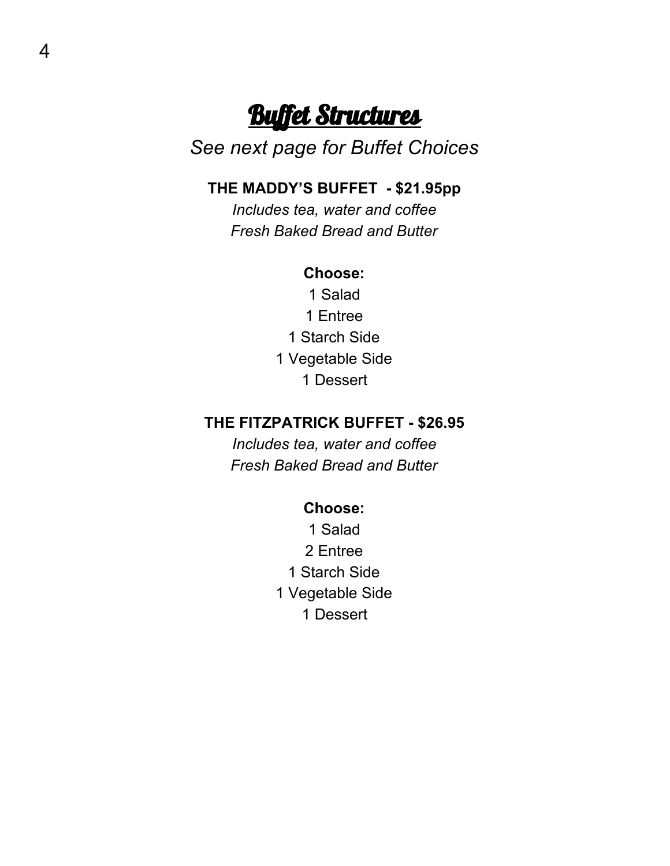## **Buffet Structures**

## *See next page for Buffet Choices*

## **THE MADDY'S BUFFET - \$21.95pp**

*Includes tea, water and coffee Fresh Baked Bread and Butter*

### **Choose:**

1 Salad 1 Entree 1 Starch Side 1 Vegetable Side 1 Dessert

## **THE FITZPATRICK BUFFET - \$26.95**

*Includes tea, water and coffee Fresh Baked Bread and Butter*

#### **Choose:**

1 Salad 2 Entree 1 Starch Side 1 Vegetable Side 1 Dessert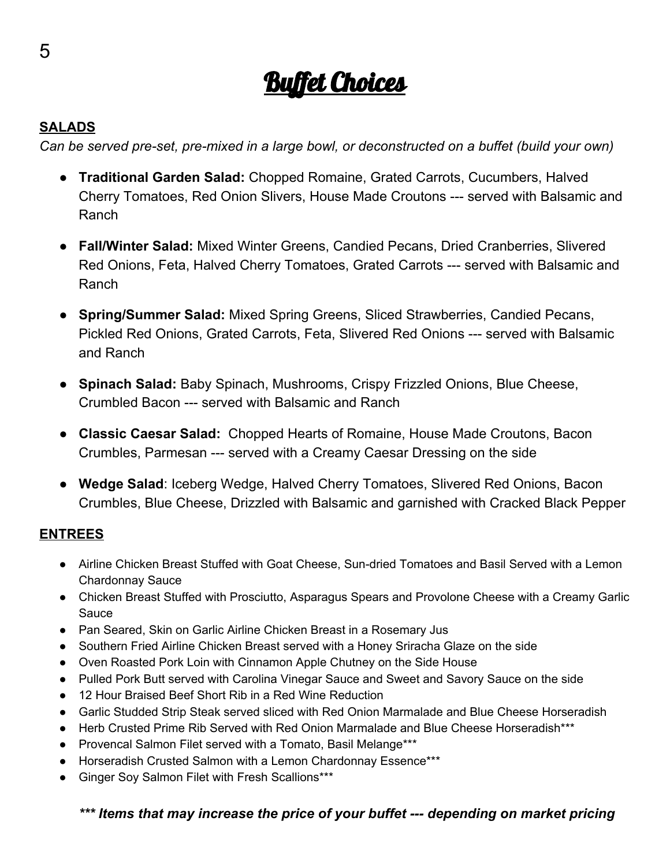# <u>Buffet Choices</u>

## **SALADS**

*Can be served pre-set, pre-mixed in a large bowl, or deconstructed on a buffet (build your own)*

- **Traditional Garden Salad:** Chopped Romaine, Grated Carrots, Cucumbers, Halved Cherry Tomatoes, Red Onion Slivers, House Made Croutons --- served with Balsamic and Ranch
- **Fall/Winter Salad:** Mixed Winter Greens, Candied Pecans, Dried Cranberries, Slivered Red Onions, Feta, Halved Cherry Tomatoes, Grated Carrots --- served with Balsamic and Ranch
- **Spring/Summer Salad:** Mixed Spring Greens, Sliced Strawberries, Candied Pecans, Pickled Red Onions, Grated Carrots, Feta, Slivered Red Onions --- served with Balsamic and Ranch
- **Spinach Salad:** Baby Spinach, Mushrooms, Crispy Frizzled Onions, Blue Cheese, Crumbled Bacon --- served with Balsamic and Ranch
- **Classic Caesar Salad:** Chopped Hearts of Romaine, House Made Croutons, Bacon Crumbles, Parmesan --- served with a Creamy Caesar Dressing on the side
- **Wedge Salad**: Iceberg Wedge, Halved Cherry Tomatoes, Slivered Red Onions, Bacon Crumbles, Blue Cheese, Drizzled with Balsamic and garnished with Cracked Black Pepper

## **ENTREES**

- Airline Chicken Breast Stuffed with Goat Cheese, Sun-dried Tomatoes and Basil Served with a Lemon Chardonnay Sauce
- Chicken Breast Stuffed with Prosciutto, Asparagus Spears and Provolone Cheese with a Creamy Garlic Sauce
- Pan Seared, Skin on Garlic Airline Chicken Breast in a Rosemary Jus
- Southern Fried Airline Chicken Breast served with a Honey Sriracha Glaze on the side
- Oven Roasted Pork Loin with Cinnamon Apple Chutney on the Side House
- Pulled Pork Butt served with Carolina Vinegar Sauce and Sweet and Savory Sauce on the side
- 12 Hour Braised Beef Short Rib in a Red Wine Reduction
- Garlic Studded Strip Steak served sliced with Red Onion Marmalade and Blue Cheese Horseradish
- Herb Crusted Prime Rib Served with Red Onion Marmalade and Blue Cheese Horseradish\*\*\*
- Provencal Salmon Filet served with a Tomato, Basil Melange\*\*\*
- Horseradish Crusted Salmon with a Lemon Chardonnay Essence\*\*\*
- Ginger Soy Salmon Filet with Fresh Scallions\*\*\*

## *\*\*\* Items that may increase the price of your buffet --- depending on market pricing*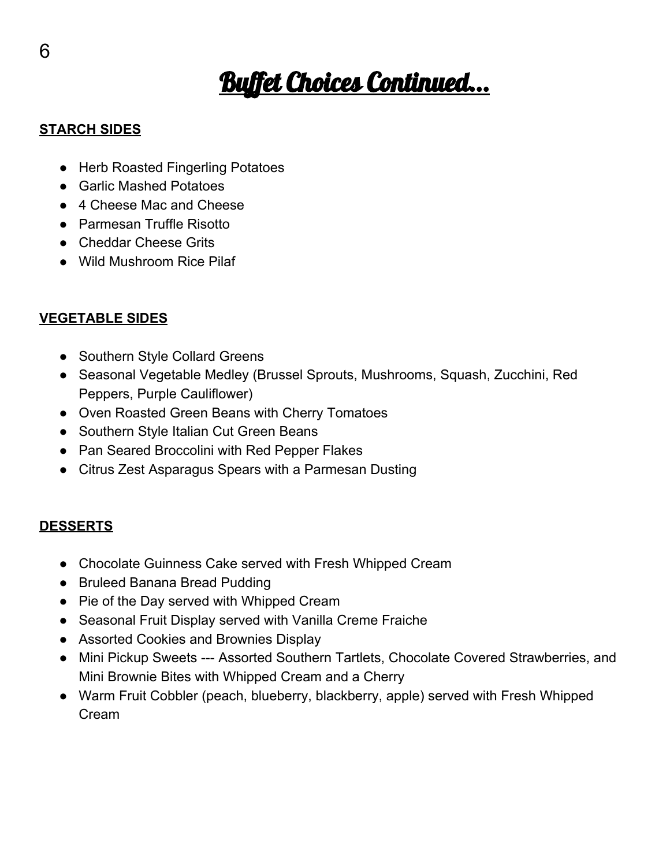# **Buffet Choices Continued...**

## **STARCH SIDES**

- Herb Roasted Fingerling Potatoes
- Garlic Mashed Potatoes
- 4 Cheese Mac and Cheese
- Parmesan Truffle Risotto
- Cheddar Cheese Grits
- Wild Mushroom Rice Pilaf

## **VEGETABLE SIDES**

- Southern Style Collard Greens
- Seasonal Vegetable Medley (Brussel Sprouts, Mushrooms, Squash, Zucchini, Red Peppers, Purple Cauliflower)
- Oven Roasted Green Beans with Cherry Tomatoes
- Southern Style Italian Cut Green Beans
- Pan Seared Broccolini with Red Pepper Flakes
- Citrus Zest Asparagus Spears with a Parmesan Dusting

### **DESSERTS**

- Chocolate Guinness Cake served with Fresh Whipped Cream
- Bruleed Banana Bread Pudding
- Pie of the Day served with Whipped Cream
- Seasonal Fruit Display served with Vanilla Creme Fraiche
- Assorted Cookies and Brownies Display
- Mini Pickup Sweets --- Assorted Southern Tartlets, Chocolate Covered Strawberries, and Mini Brownie Bites with Whipped Cream and a Cherry
- Warm Fruit Cobbler (peach, blueberry, blackberry, apple) served with Fresh Whipped Cream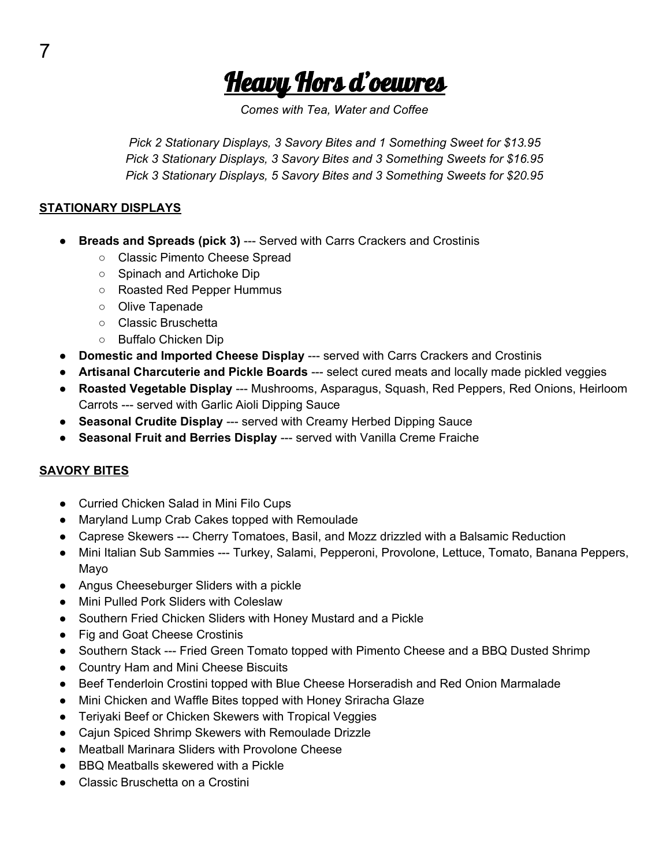<u>Heavy Hors d'oeuvres</u>

*Comes with Tea, Water and Coffee*

*Pick 2 Stationary Displays, 3 Savory Bites and 1 Something Sweet for \$13.95 Pick 3 Stationary Displays, 3 Savory Bites and 3 Something Sweets for \$16.95 Pick 3 Stationary Displays, 5 Savory Bites and 3 Something Sweets for \$20.95*

#### **STATIONARY DISPLAYS**

- **Breads and Spreads (pick 3)** --- Served with Carrs Crackers and Crostinis
	- Classic Pimento Cheese Spread
	- Spinach and Artichoke Dip
	- Roasted Red Pepper Hummus
	- Olive Tapenade
	- Classic Bruschetta
	- Buffalo Chicken Dip
- **Domestic and Imported Cheese Display** --- served with Carrs Crackers and Crostinis
- **Artisanal Charcuterie and Pickle Boards** --- select cured meats and locally made pickled veggies
- **Roasted Vegetable Display** --- Mushrooms, Asparagus, Squash, Red Peppers, Red Onions, Heirloom Carrots --- served with Garlic Aioli Dipping Sauce
- **Seasonal Crudite Display** --- served with Creamy Herbed Dipping Sauce
- **Seasonal Fruit and Berries Display** --- served with Vanilla Creme Fraiche

#### **SAVORY BITES**

- Curried Chicken Salad in Mini Filo Cups
- Maryland Lump Crab Cakes topped with Remoulade
- Caprese Skewers --- Cherry Tomatoes, Basil, and Mozz drizzled with a Balsamic Reduction
- Mini Italian Sub Sammies --- Turkey, Salami, Pepperoni, Provolone, Lettuce, Tomato, Banana Peppers, Mayo
- Angus Cheeseburger Sliders with a pickle
- Mini Pulled Pork Sliders with Coleslaw
- Southern Fried Chicken Sliders with Honey Mustard and a Pickle
- Fig and Goat Cheese Crostinis
- Southern Stack --- Fried Green Tomato topped with Pimento Cheese and a BBQ Dusted Shrimp
- Country Ham and Mini Cheese Biscuits
- Beef Tenderloin Crostini topped with Blue Cheese Horseradish and Red Onion Marmalade
- Mini Chicken and Waffle Bites topped with Honey Sriracha Glaze
- Teriyaki Beef or Chicken Skewers with Tropical Veggies
- Cajun Spiced Shrimp Skewers with Remoulade Drizzle
- Meatball Marinara Sliders with Provolone Cheese
- BBQ Meatballs skewered with a Pickle
- Classic Bruschetta on a Crostini